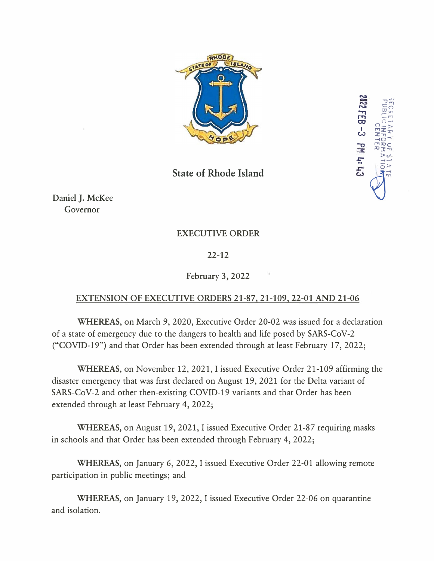

 $2\pm\pi$  $\frac{1}{2\pi}$   $\frac{1}{2\pi}$ WHO -**-c,** ,-,,x,c  $x \rightarrow x$ *z:-* >v .\_;-, .. o>  $\vee$ 

<u>امم</u>

EC<br>152<br>152 *'-r,*   $\mathbf{H}$  ,  $\mathbb{R}^{\mathbb{Z}}_n$ **FCCRET)**<br>PUBLIC<br>**R2 FEB** 

**State of Rhode Island** 

Daniel J. McKee Governor

## EXECUTIVE ORDER

## 22-12

## February 3, 2022

## EXTENSION OF EXECUTIVE ORDERS 21-87, 21-109, 22-01 AND 21-06

**WHEREAS,** on March 9, 2020, Executive Order 20-02 was issued for a declaration of a state of emergency due to the dangers to health and life posed by SARS-CoV-2 ("COVID-19") and that Order has been extended through at least February 17, 2022;

**WHEREAS,** on November 12, 2021, I issued Executive Order 21-109 affirming the disaster emergency that was first declared on August 19, 2021 for the Delta variant of SARS-CoV-2 and other then-existing COVID-19 variants and that Order has been extended through at least February 4, 2022;

**WHEREAS,** on August 19, 2021, I issued Executive Order 21-87 requiring masks in schools and that Order has been extended through February 4, 2022;

**WHEREAS,** on January 6, 2022, I issued Executive Order 22-01 allowing remote participation in public meetings; and

**WHEREAS,** on January 19, 2022, I issued Executive Order 22-06 on quarantine and isolation.